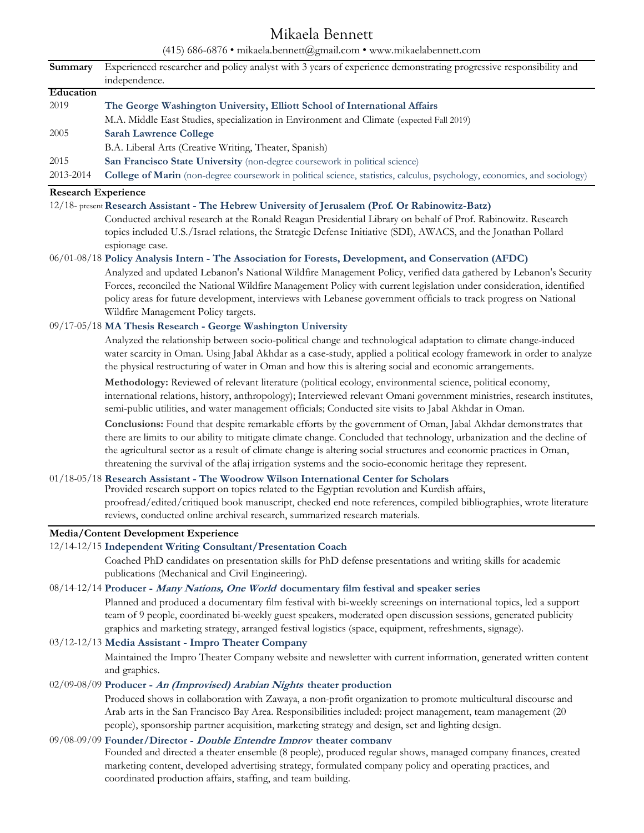# Mikaela Bennett

(415) 686-6876 • mikaela.bennett@gmail.com • www.mikaelabennett.com

| Summary                                                                               | Experienced researcher and policy analyst with 3 years of experience demonstrating progressive responsibility and<br>independence.                                                                                                     |
|---------------------------------------------------------------------------------------|----------------------------------------------------------------------------------------------------------------------------------------------------------------------------------------------------------------------------------------|
| Education                                                                             |                                                                                                                                                                                                                                        |
| 2019                                                                                  | The George Washington University, Elliott School of International Affairs                                                                                                                                                              |
|                                                                                       | M.A. Middle East Studies, specialization in Environment and Climate (expected Fall 2019)                                                                                                                                               |
| 2005                                                                                  | <b>Sarah Lawrence College</b>                                                                                                                                                                                                          |
|                                                                                       | B.A. Liberal Arts (Creative Writing, Theater, Spanish)                                                                                                                                                                                 |
| 2015                                                                                  | San Francisco State University (non-degree coursework in political science)                                                                                                                                                            |
| 2013-2014                                                                             | College of Marin (non-degree coursework in political science, statistics, calculus, psychology, economics, and sociology)                                                                                                              |
| <b>Research Experience</b>                                                            |                                                                                                                                                                                                                                        |
|                                                                                       | 12/18- present Research Assistant - The Hebrew University of Jerusalem (Prof. Or Rabinowitz-Batz)                                                                                                                                      |
|                                                                                       | Conducted archival research at the Ronald Reagan Presidential Library on behalf of Prof. Rabinowitz. Research                                                                                                                          |
|                                                                                       | topics included U.S./Israel relations, the Strategic Defense Initiative (SDI), AWACS, and the Jonathan Pollard                                                                                                                         |
|                                                                                       | espionage case.                                                                                                                                                                                                                        |
|                                                                                       | 06/01-08/18 Policy Analysis Intern - The Association for Forests, Development, and Conservation (AFDC)                                                                                                                                 |
|                                                                                       | Analyzed and updated Lebanon's National Wildfire Management Policy, verified data gathered by Lebanon's Security                                                                                                                       |
|                                                                                       | Forces, reconciled the National Wildfire Management Policy with current legislation under consideration, identified                                                                                                                    |
|                                                                                       | policy areas for future development, interviews with Lebanese government officials to track progress on National                                                                                                                       |
|                                                                                       | Wildfire Management Policy targets.                                                                                                                                                                                                    |
|                                                                                       | 09/17-05/18 MA Thesis Research - George Washington University                                                                                                                                                                          |
|                                                                                       | Analyzed the relationship between socio-political change and technological adaptation to climate change-induced                                                                                                                        |
|                                                                                       | water scarcity in Oman. Using Jabal Akhdar as a case-study, applied a political ecology framework in order to analyze<br>the physical restructuring of water in Oman and how this is altering social and economic arrangements.        |
|                                                                                       |                                                                                                                                                                                                                                        |
|                                                                                       | Methodology: Reviewed of relevant literature (political ecology, environmental science, political economy,                                                                                                                             |
|                                                                                       | international relations, history, anthropology); Interviewed relevant Omani government ministries, research institutes,                                                                                                                |
|                                                                                       | semi-public utilities, and water management officials; Conducted site visits to Jabal Akhdar in Oman.                                                                                                                                  |
|                                                                                       | Conclusions: Found that despite remarkable efforts by the government of Oman, Jabal Akhdar demonstrates that<br>there are limits to our ability to mitigate climate change. Concluded that technology, urbanization and the decline of |
|                                                                                       | the agricultural sector as a result of climate change is altering social structures and economic practices in Oman,                                                                                                                    |
|                                                                                       | threatening the survival of the aflaj irrigation systems and the socio-economic heritage they represent.                                                                                                                               |
| 01/18-05/18 Research Assistant - The Woodrow Wilson International Center for Scholars |                                                                                                                                                                                                                                        |
|                                                                                       | Provided research support on topics related to the Egyptian revolution and Kurdish affairs,                                                                                                                                            |
|                                                                                       | proofread/edited/critiqued book manuscript, checked end note references, compiled bibliographies, wrote literature                                                                                                                     |
|                                                                                       | reviews, conducted online archival research, summarized research materials.                                                                                                                                                            |
| <b>Media/Content Development Experience</b>                                           |                                                                                                                                                                                                                                        |
|                                                                                       | 12/14-12/15 Independent Writing Consultant/Presentation Coach                                                                                                                                                                          |
|                                                                                       | Coached PhD candidates on presentation skills for PhD defense presentations and writing skills for academic                                                                                                                            |
|                                                                                       | publications (Mechanical and Civil Engineering).                                                                                                                                                                                       |
|                                                                                       | 08/14-12/14 Producer - Many Nations, One World documentary film festival and speaker series                                                                                                                                            |
|                                                                                       | Planned and produced a documentary film festival with bi-weekly screenings on international topics, led a support                                                                                                                      |
|                                                                                       | team of 9 people, coordinated bi-weekly guest speakers, moderated open discussion sessions, generated publicity                                                                                                                        |
|                                                                                       | graphics and marketing strategy, arranged festival logistics (space, equipment, refreshments, signage).                                                                                                                                |
|                                                                                       | 03/12-12/13 Media Assistant - Impro Theater Company                                                                                                                                                                                    |
|                                                                                       | Maintained the Impro Theater Company website and newsletter with current information, generated written content                                                                                                                        |
|                                                                                       | and graphics.                                                                                                                                                                                                                          |
|                                                                                       | 02/09-08/09 Producer - An (Improvised) Arabian Nights theater production                                                                                                                                                               |
|                                                                                       | Produced shows in collaboration with Zawaya, a non-profit organization to promote multicultural discourse and                                                                                                                          |
|                                                                                       | Arab arts in the San Francisco Bay Area. Responsibilities included: project management, team management (20                                                                                                                            |
|                                                                                       | people), sponsorship partner acquisition, marketing strategy and design, set and lighting design.                                                                                                                                      |
| 09/08-09/09 Founder/Director - Double Entendre Improv theater company                 |                                                                                                                                                                                                                                        |
|                                                                                       | Founded and directed a theater ensemble (8 people), produced regular shows, managed company finances, created                                                                                                                          |
|                                                                                       | marketing content, developed advertising strategy, formulated company policy and operating practices, and                                                                                                                              |

coordinated production affairs, staffing, and team building.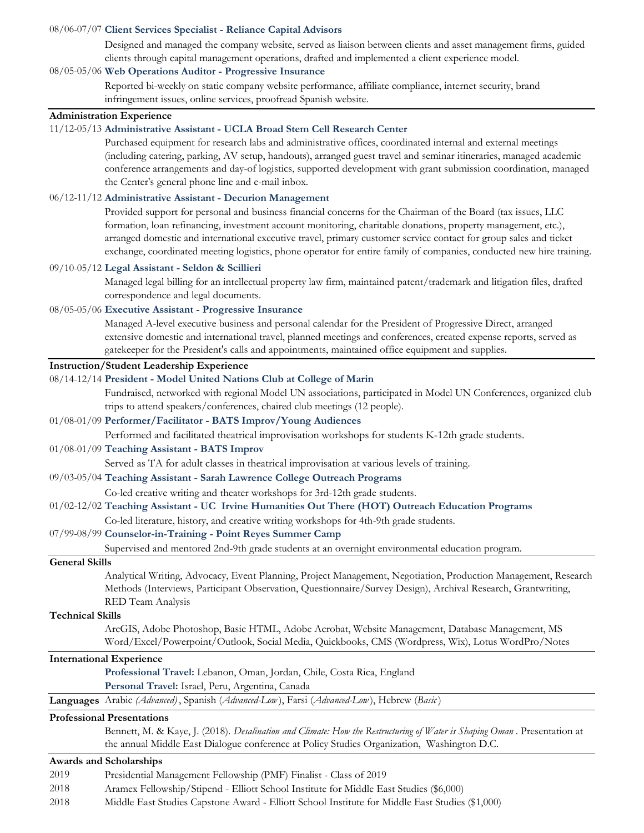#### 08/06-07/07 **Client Services Specialist - Reliance Capital Advisors**

Designed and managed the company website, served as liaison between clients and asset management firms, guided clients through capital management operations, drafted and implemented a client experience model.

#### 08/05-05/06 **Web Operations Auditor - Progressive Insurance**

Reported bi-weekly on static company website performance, affiliate compliance, internet security, brand infringement issues, online services, proofread Spanish website.

# **Administration Experience**

#### 11/12-05/13 **Administrative Assistant - UCLA Broad Stem Cell Research Center**

Purchased equipment for research labs and administrative offices, coordinated internal and external meetings (including catering, parking, AV setup, handouts), arranged guest travel and seminar itineraries, managed academic conference arrangements and day-of logistics, supported development with grant submission coordination, managed the Center's general phone line and e-mail inbox.

#### 06/12-11/12 **Administrative Assistant - Decurion Management**

Provided support for personal and business financial concerns for the Chairman of the Board (tax issues, LLC formation, loan refinancing, investment account monitoring, charitable donations, property management, etc.), arranged domestic and international executive travel, primary customer service contact for group sales and ticket exchange, coordinated meeting logistics, phone operator for entire family of companies, conducted new hire training.

#### 09/10-05/12 **Legal Assistant - Seldon & Scillieri**

Managed legal billing for an intellectual property law firm, maintained patent/trademark and litigation files, drafted correspondence and legal documents.

## 08/05-05/06 **Executive Assistant - Progressive Insurance**

Managed A-level executive business and personal calendar for the President of Progressive Direct, arranged extensive domestic and international travel, planned meetings and conferences, created expense reports, served as gatekeeper for the President's calls and appointments, maintained office equipment and supplies.

## **Instruction/Student Leadership Experience**

#### 08/14-12/14 **President - Model United Nations Club at College of Marin**

Fundraised, networked with regional Model UN associations, participated in Model UN Conferences, organized club trips to attend speakers/conferences, chaired club meetings (12 people).

#### 01/08-01/09 **Performer/Facilitator - BATS Improv/Young Audiences**

Performed and facilitated theatrical improvisation workshops for students K-12th grade students.

#### 01/08-01/09 **Teaching Assistant - BATS Improv**

Served as TA for adult classes in theatrical improvisation at various levels of training.

#### 09/03-05/04 **Teaching Assistant - Sarah Lawrence College Outreach Programs**

Co-led creative writing and theater workshops for 3rd-12th grade students.

### 01/02-12/02 **Teaching Assistant - UC Irvine Humanities Out There (HOT) Outreach Education Programs**

Co-led literature, history, and creative writing workshops for 4th-9th grade students.

## 07/99-08/99 **Counselor-in-Training - Point Reyes Summer Camp**

Supervised and mentored 2nd-9th grade students at an overnight environmental education program.

#### **General Skills**

Analytical Writing, Advocacy, Event Planning, Project Management, Negotiation, Production Management, Research Methods (Interviews, Participant Observation, Questionnaire/Survey Design), Archival Research, Grantwriting, RED Team Analysis

#### **Technical Skills**

ArcGIS, Adobe Photoshop, Basic HTML, Adobe Acrobat, Website Management, Database Management, MS Word/Excel/Powerpoint/Outlook, Social Media, Quickbooks, CMS (Wordpress, Wix), Lotus WordPro/Notes

## **International Experience**

**Professional Travel:** Lebanon, Oman, Jordan, Chile, Costa Rica, England **Personal Travel:** Israel, Peru, Argentina, Canada

**Languages** Arabic *(Advanced)* , Spanish (*Advanced-Low* ), Farsi (*Advanced-Low* ), Hebrew (*Basic* )

#### **Professional Presentations**

Bennett, M. & Kaye, J. (2018). *Desalination and Climate: How the Restructuring of Water is Shaping Oman* . Presentation at the annual Middle East Dialogue conference at Policy Studies Organization, Washington D.C.

#### **Awards and Scholarships**

- 2019 Presidential Management Fellowship (PMF) Finalist Class of 2019
- 2018 Aramex Fellowship/Stipend Elliott School Institute for Middle East Studies (\$6,000)
- 2018 Middle East Studies Capstone Award Elliott School Institute for Middle East Studies (\$1,000)